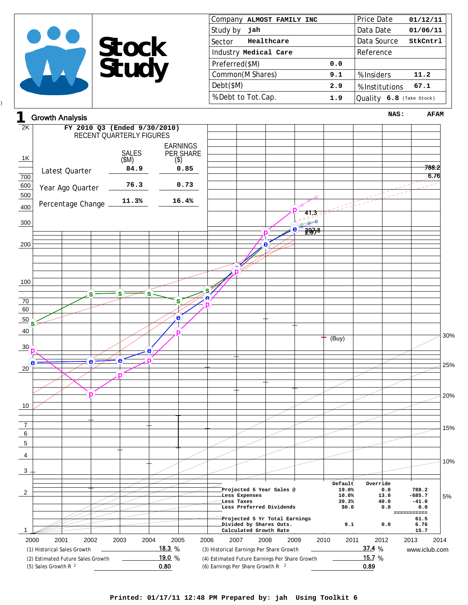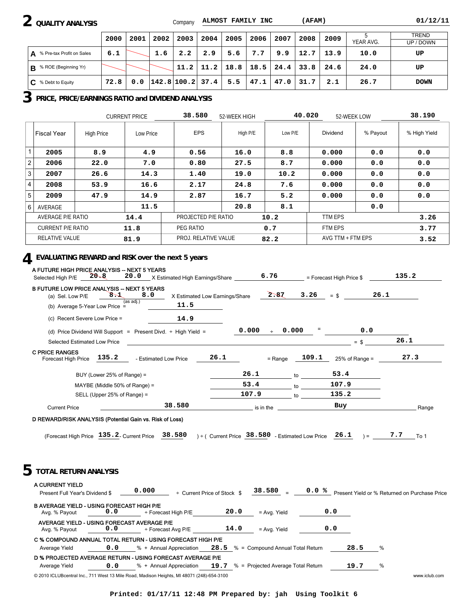## **2 QUALITY ANALYSIS**

Company **ALMOST FAMILY INC (AFAM) 01/12/11**

|                                | 2000 | 2001 | 2002 | 2003                     | 2004 | 2005                                                | 2006 | 2007 | 2008 | 2009 |           | <b>TREND</b> |
|--------------------------------|------|------|------|--------------------------|------|-----------------------------------------------------|------|------|------|------|-----------|--------------|
|                                |      |      |      |                          |      |                                                     |      |      |      |      | YEAR AVG. | UP / DOWN    |
| % Pre-tax Profit on Sales<br>A | 6.1  |      | 1.6  | 2.2                      | 2.9  | 5.6                                                 | 7.7  | 9.9  | 12.7 | 13.9 | 10.0      | UP           |
| % ROE (Beginning Yr)<br>. B    |      |      |      |                          |      | $11.2$   $11.2$   $18.8$   $18.5$   $24.4$   $33.8$ |      |      |      | 24.6 | 24.0      | UP           |
| C.<br>% Debt to Equity         | 72.8 |      |      | $0.0$  142.8 100.2  37.4 |      | 5.5                                                 | 47.1 | 47.0 | 31.7 | 2.1  | 26.7      | <b>DOWN</b>  |

## **3 PRICE, PRICE/EARNINGS RATIO and DIVIDEND ANALYSIS**

|                |                          |                   | <b>CURRENT PRICE</b> | 38.580               | 52-WEEK HIGH | 40.020  | 52-WEEK LOW       |          | 38.190       |
|----------------|--------------------------|-------------------|----------------------|----------------------|--------------|---------|-------------------|----------|--------------|
|                | Fiscal Year              | <b>High Price</b> | Low Price            | <b>EPS</b>           | High P/E     | Low P/E | Dividend          | % Payout | % High Yield |
|                | 2005                     | 8.9               | 4.9                  | 0.56                 | 16.0         | 8.8     | 0.000             | 0.0      | 0.0          |
| 2              | 2006                     | 22.0              | 7.0                  | 0.80                 | 27.5         | 8.7     | 0.000             | 0.0      | 0.0          |
| 3              | 2007                     | 26.6              | 14.3                 | 1.40                 | 19.0         | 10.2    | 0.000             | 0.0      | 0.0          |
| 4              | 2008                     | 53.9              | 16.6                 | 2.17                 | 24.8         | 7.6     | 0.000             | 0.0      | 0.0          |
| 5              | 2009                     | 47.9              | 14.9                 | 2.87                 | 16.7         | 5.2     | 0.000             | 0.0      | 0.0          |
| 6 <sup>1</sup> | AVERAGE                  |                   | 11.5                 |                      | 20.8         | 8.1     |                   | 0.0      |              |
|                | <b>AVERAGE P/E RATIO</b> |                   | 14.4                 | PROJECTED P/E RATIO  |              | 10.2    | <b>TTM EPS</b>    |          | 3.26         |
|                | <b>CURRENT P/E RATIO</b> |                   | 11.8                 | PEG RATIO            |              | 0.7     | <b>FTM EPS</b>    |          | 3.77         |
|                | RELATIVE VALUE           |                   | 81.9                 | PROJ. RELATIVE VALUE |              | 82.2    | AVG TTM + FTM EPS |          | 3.52         |

## **4 EVALUATING REWARD and RISK over the next 5 years**

| $20 - 8$<br>Selected High P/E                                                                                                                     | 20.0<br>X Estimated High Earnings/Share                                                                      | 6.76                                                                   |       | = Forecast High Price \$ | 135.2                                                        |
|---------------------------------------------------------------------------------------------------------------------------------------------------|--------------------------------------------------------------------------------------------------------------|------------------------------------------------------------------------|-------|--------------------------|--------------------------------------------------------------|
| <b>B FUTURE LOW PRICE ANALYSIS -- NEXT 5 YEARS</b><br>(a) Sel. Low P/E                                                                            | 8.0<br>$8\pm$<br>(as adj.)<br>11.5                                                                           | 2.87<br>X Estimated Low Earnings/Share                                 | 3.26  | $=$ \$                   | 26.1                                                         |
| (b) Average 5-Year Low Price $=$                                                                                                                  |                                                                                                              |                                                                        |       |                          |                                                              |
| (c) Recent Severe Low Price =                                                                                                                     | 14.9                                                                                                         |                                                                        |       |                          |                                                              |
|                                                                                                                                                   | (d) Price Dividend Will Support = Present Divd. ÷ High Yield =                                               | 0.000<br>$\div$                                                        | 0.000 | 0.0                      |                                                              |
| Selected Estimated Low Price                                                                                                                      |                                                                                                              |                                                                        |       | $=$ \$                   | 26.1                                                         |
| <b>C PRICE RANGES</b><br>135.2<br>Forecast High Price                                                                                             | - Estimated Low Price                                                                                        | 26.1<br>$=$ Range                                                      | 109.1 | $25%$ of Range =         | 27.3                                                         |
|                                                                                                                                                   | BUY (Lower 25% of Range) =                                                                                   | 26.1                                                                   | to    | 53.4                     |                                                              |
|                                                                                                                                                   | MAYBE (Middle 50% of Range) =                                                                                | 53.4                                                                   | to    | 107.9                    |                                                              |
|                                                                                                                                                   | SELL (Upper 25% of Range) =                                                                                  | 107.9                                                                  | to    | 135.2                    |                                                              |
|                                                                                                                                                   | 38.580                                                                                                       |                                                                        |       | Buy                      |                                                              |
| <b>Current Price</b>                                                                                                                              | D REWARD/RISK ANALYSIS (Potential Gain vs. Risk of Loss)<br>(Forecast High Price 135.2. Current Price 38.580 | is in the<br>) ÷ ( Current Price $38.580$ - Estimated Low Price $26.1$ |       | $\lambda =$              | 7.7<br>To 1                                                  |
|                                                                                                                                                   |                                                                                                              |                                                                        |       |                          |                                                              |
| Present Full Year's Dividend \$                                                                                                                   | 0.000                                                                                                        | $38.580$ $=$<br>+ Current Price of Stock \$                            |       |                          |                                                              |
| Avg. % Payout                                                                                                                                     | 0.0<br>÷ Forecast High P/E                                                                                   | 20.0<br>= Avg. Yield                                                   | 0.0   |                          |                                                              |
| Avg. % Payout                                                                                                                                     | 0.0<br>÷ Forecast Avg P/E                                                                                    | 14.0<br>= Avg. Yield                                                   | 0.0   |                          |                                                              |
| Average Yield                                                                                                                                     | C % COMPOUND ANNUAL TOTAL RETURN - USING FORECAST HIGH P/E<br>0.0<br>% + Annual Appreciation                 | 28.5 % = Compound Annual Total Return                                  |       | 28.5                     | %                                                            |
| <b>TOTAL RETURN ANALYSIS</b><br>A CURRENT YIELD<br><b>B AVERAGE YIELD - USING FORECAST HIGH P/E</b><br>AVERAGE YIELD - USING FORECAST AVERAGE P/E | D % PROJECTED AVERAGE RETURN - USING FORECAST AVERAGE P/E                                                    |                                                                        |       |                          | Range<br>0.0 % Present Yield or % Returned on Purchase Price |